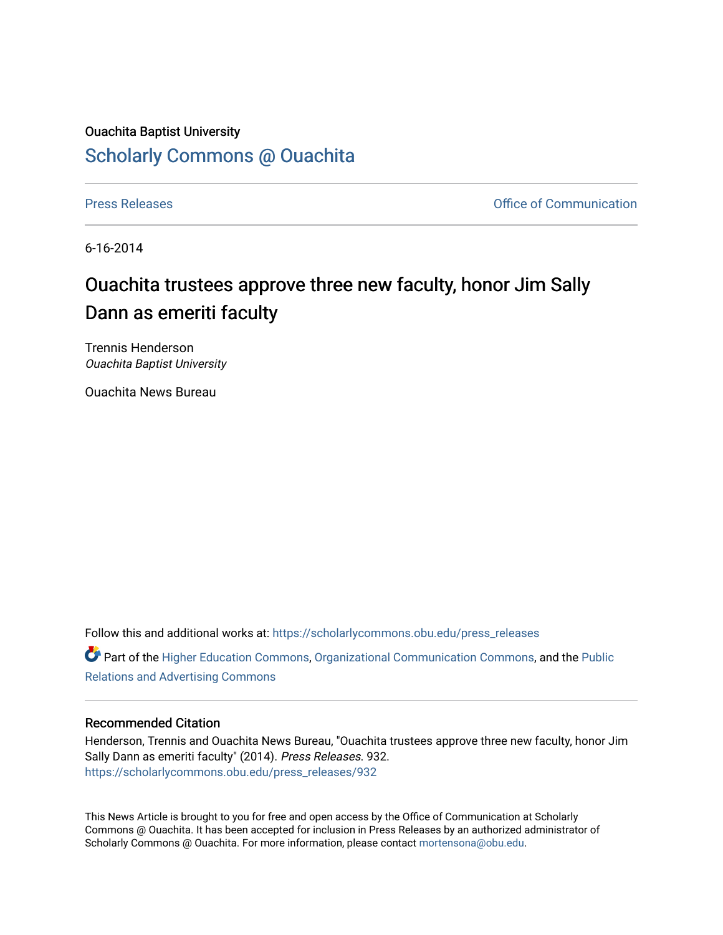## Ouachita Baptist University [Scholarly Commons @ Ouachita](https://scholarlycommons.obu.edu/)

[Press Releases](https://scholarlycommons.obu.edu/press_releases) **Press Releases Communication** 

6-16-2014

## Ouachita trustees approve three new faculty, honor Jim Sally Dann as emeriti faculty

Trennis Henderson Ouachita Baptist University

Ouachita News Bureau

Follow this and additional works at: [https://scholarlycommons.obu.edu/press\\_releases](https://scholarlycommons.obu.edu/press_releases?utm_source=scholarlycommons.obu.edu%2Fpress_releases%2F932&utm_medium=PDF&utm_campaign=PDFCoverPages)

Part of the [Higher Education Commons,](http://network.bepress.com/hgg/discipline/1245?utm_source=scholarlycommons.obu.edu%2Fpress_releases%2F932&utm_medium=PDF&utm_campaign=PDFCoverPages) [Organizational Communication Commons,](http://network.bepress.com/hgg/discipline/335?utm_source=scholarlycommons.obu.edu%2Fpress_releases%2F932&utm_medium=PDF&utm_campaign=PDFCoverPages) and the [Public](http://network.bepress.com/hgg/discipline/336?utm_source=scholarlycommons.obu.edu%2Fpress_releases%2F932&utm_medium=PDF&utm_campaign=PDFCoverPages) [Relations and Advertising Commons](http://network.bepress.com/hgg/discipline/336?utm_source=scholarlycommons.obu.edu%2Fpress_releases%2F932&utm_medium=PDF&utm_campaign=PDFCoverPages) 

## Recommended Citation

Henderson, Trennis and Ouachita News Bureau, "Ouachita trustees approve three new faculty, honor Jim Sally Dann as emeriti faculty" (2014). Press Releases. 932. [https://scholarlycommons.obu.edu/press\\_releases/932](https://scholarlycommons.obu.edu/press_releases/932?utm_source=scholarlycommons.obu.edu%2Fpress_releases%2F932&utm_medium=PDF&utm_campaign=PDFCoverPages)

This News Article is brought to you for free and open access by the Office of Communication at Scholarly Commons @ Ouachita. It has been accepted for inclusion in Press Releases by an authorized administrator of Scholarly Commons @ Ouachita. For more information, please contact [mortensona@obu.edu](mailto:mortensona@obu.edu).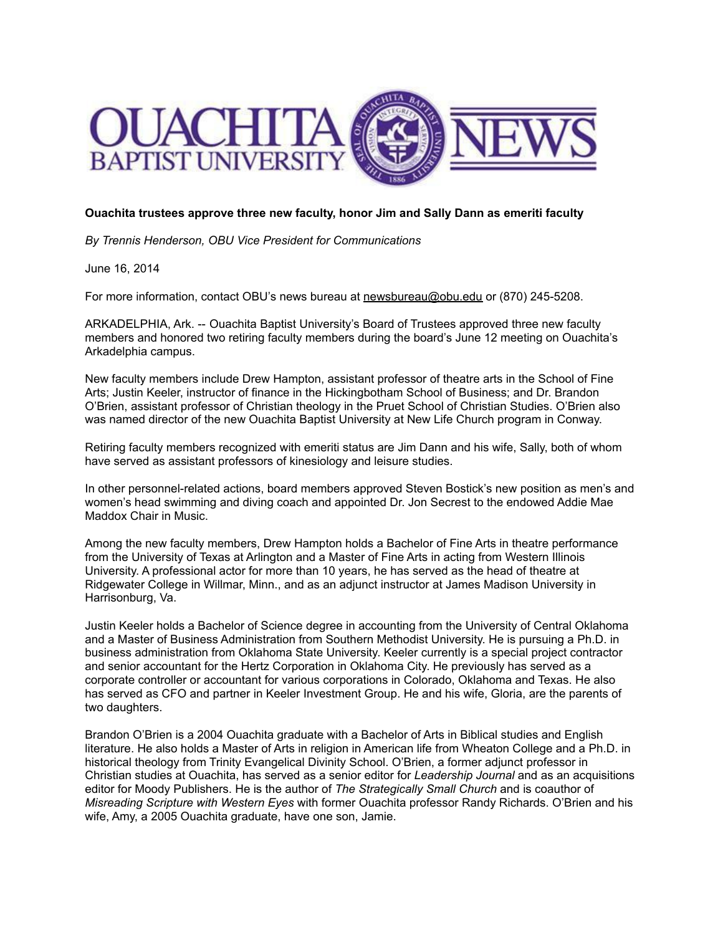

## **Ouachita trustees approve three new faculty, honor Jim and Sally Dann as emeriti faculty**

*By Trennis Henderson, OBU Vice President for Communications*

June 16, 2014

For more information, contact OBU's news bureau at [newsbureau@obu.edu](mailto:newsbureau@obu.edu) or (870) 245-5208.

ARKADELPHIA, Ark. -- Ouachita Baptist University's Board of Trustees approved three new faculty members and honored two retiring faculty members during the board's June 12 meeting on Ouachita's Arkadelphia campus.

New faculty members include Drew Hampton, assistant professor of theatre arts in the School of Fine Arts; Justin Keeler, instructor of finance in the Hickingbotham School of Business; and Dr. Brandon O'Brien, assistant professor of Christian theology in the Pruet School of Christian Studies. O'Brien also was named director of the new Ouachita Baptist University at New Life Church program in Conway.

Retiring faculty members recognized with emeriti status are Jim Dann and his wife, Sally, both of whom have served as assistant professors of kinesiology and leisure studies.

In other personnel-related actions, board members approved Steven Bostick's new position as men's and women's head swimming and diving coach and appointed Dr. Jon Secrest to the endowed Addie Mae Maddox Chair in Music.

Among the new faculty members, Drew Hampton holds a Bachelor of Fine Arts in theatre performance from the University of Texas at Arlington and a Master of Fine Arts in acting from Western Illinois University. A professional actor for more than 10 years, he has served as the head of theatre at Ridgewater College in Willmar, Minn., and as an adjunct instructor at James Madison University in Harrisonburg, Va.

Justin Keeler holds a Bachelor of Science degree in accounting from the University of Central Oklahoma and a Master of Business Administration from Southern Methodist University. He is pursuing a Ph.D. in business administration from Oklahoma State University. Keeler currently is a special project contractor and senior accountant for the Hertz Corporation in Oklahoma City. He previously has served as a corporate controller or accountant for various corporations in Colorado, Oklahoma and Texas. He also has served as CFO and partner in Keeler Investment Group. He and his wife, Gloria, are the parents of two daughters.

Brandon O'Brien is a 2004 Ouachita graduate with a Bachelor of Arts in Biblical studies and English literature. He also holds a Master of Arts in religion in American life from Wheaton College and a Ph.D. in historical theology from Trinity Evangelical Divinity School. O'Brien, a former adjunct professor in Christian studies at Ouachita, has served as a senior editor for *Leadership Journal* and as an acquisitions editor for Moody Publishers. He is the author of *The Strategically Small Church* and is coauthor of *Misreading Scripture with Western Eyes* with former Ouachita professor Randy Richards. O'Brien and his wife, Amy, a 2005 Ouachita graduate, have one son, Jamie.